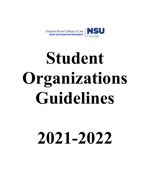



# 2021-2022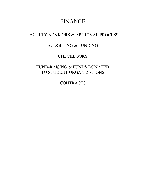# FINANCE

## FACULTY ADVISORS & APPROVAL PROCESS

## BUDGETING & FUNDING

## **CHECKBOOKS**

## FUND-RAISING & FUNDS DONATED TO STUDENT ORGANIZATIONS

**CONTRACTS**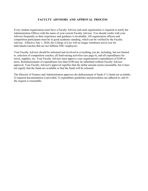#### FACULTY ADVISORS AND APPROVAL PROCESS

Every student organization must have a Faculty Advisor and each organization is required to notify the Administration Offices with the name of your current Faculty Advisor. You should confer with your Advisor frequently as their experience and guidance is invaluable. All organization officers and competition participants must be in good academic standing, which can be verified by the Faculty Advisor. Effective July 1, 2020, the College of Law will no longer reimburse travel cost for individuals/coaches that are not fulltime NSU employees.

Your Faculty Advisor should be informed and involved in everything you do, including, but not limited to, selection of competition coaches, all fund-raising activities (see page 6), and all expenditures for travel, supplies, etc. Your Faculty Advisor must approve your organization's expenditures of \$100 or more. Reimbursements of expenditures less than \$100 may be submitted without Faculty Advisor approval. Your Faculty Advisor's approval signifies that the dollar amount seems reasonable, but it does not signify that the funds are available or that the funds will be released.

The Director of Finance and Administration approves the disbursement of funds if 1) funds are available, 2) required documentation is provided, 3) expenditure guidelines and procedures are adhered to, and 4) the request is reasonable.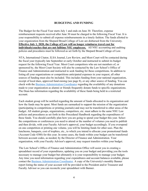#### BUDGETING AND FUNDING

The Budget for the Fiscal Year starts July 1 and ends on June 30. Therefore, expense reimbursement requests received after June 30 must be charged to the following Fiscal Year. It is your responsibility to submit all expense reimbursements in a timely fashion. The funds allotted to your organization from the Shepard Broad College of Law are disbursed from the University. Effective July 1, 2020, the College of Law will no longer reimburse travel cost for individuals/coaches that are not fulltime NSU employees. All NSU accounting and auditing policies and procedures must be followed as set forth by the Shepard Broad College of Law.

NTA, International Citator, ILSA Journal, Law Review, and Moot Court will be contacted during the fiscal year (typically late September or early October and instructed to submit its budget request for the following Fiscal Year. Moot Court competitors who are not members of, or sponsored by, the Moot Court Society will also be contacted by the Law School's Office of Finance and Administration and instructed to seek funding for these competitions. In addition to listing all your organizations or competitions anticipated expenses in your request, all other sources of funding must also be included. This includes funding from your national organization, receipt of local dues, approved fund-raising (see page 8), or any other source of funding. You can check with the Business Administration Coordinator regarding the availability of any donations made to your organization as alumni or friends frequently donate funds to specific organizations. The Dean has information regarding the availability of these funds being held in a restricted account.

Each student group will be notified regarding the amount of funds allocated to its organization and how the funds may be spent. Most funds are earmarked to support the mission of the organization (participating in competitions or printing journals) and may not be transferred to other areas of the budget. All student groups, organizations, competitors, etc. must adhere to the same NSU Law policies and procedures as set forth in this Procedural Handbook regarding the expenditures of these funds. You should carefully plan how you are going to spend your budget this year. Select the competitions or conferences you need to attend or the number of volumes you need to publish and then divide, with your Faculty Advisor's approval, your budget accordingly. If you overspend on one competition or printing one volume, you will be limiting funds for other uses. Plan the luncheons, banquets, cost of trophies, etc., to which you intend to allocate your promotional funds (Account Code 4380) for this year. In some cases, the funds within your budget can be transferred between account codes, as needed, by the Director of Finance and Administration. Your organization, with your Faculty Advisor's approval, may request transfers within your budget.

The Law School's Office of Finance and Administration Office will assist you in creating a spreadsheet record of your expenditures, updating you on your budget and providing you the tools necessary to manage your budget but ultimately it is your responsibility to manage your budget. Any time you need information regarding your expenditures and account balances available, please contact the Business Administration Coordinator. A copy of the University's monthly Banner report listing the status of your account will be provided to the President and/or Treasurer and Faculty Advisor so you can reconcile your spreadsheet with Banner.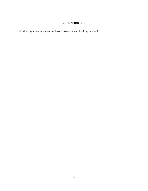### **CHECKBOOKS**

Student organizations may not have a private bank checking account.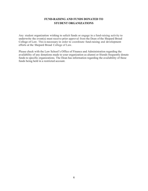#### FUND-RAISING AND FUNDS DONATED TO STUDENT ORGANIZATIONS

Any student organization wishing to solicit funds or engage in a fund-raising activity to underwrite the event(s) must receive prior approval from the Dean of the Shepard Broad College of Law. This is necessary in order to coordinate fund-raising and development efforts at the Shepard Broad College of Law.

Please check with the Law School's Office of Finance and Administration regarding the availability of any donations made to your organization as alumni or friends frequently donate funds to specific organizations. The Dean has information regarding the availability of these funds being held in a restricted account.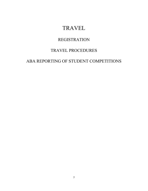# TRAVEL

## REGISTRATION

# TRAVEL PROCEDURES

## ABA REPORTING OF STUDENT COMPETITIONS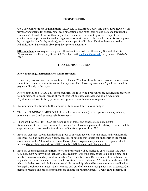#### REGISTRATION

Co-Curricular student organizations (i.e., NTA, ILSA, Moot Court, and Nova Law Review), all travel arrangements for airfare, hotel accommodations, and rental cars should be made through the University's Travel Office, or they may not be reimbursed. In order to process a request for conferences/competitions, the student organizations must complete the travel request forms (approve by the organization faculty advisor); including a copy of valid photo ID of each traveler to the Administration Suite within sixty (60) days prior to departure.

SBA members must request or register all student travel with the University Student Students. Please contact the University Student Affairs by email: studente@nova.edu or by phone: 954-262-7290.

#### TRAVEL PROCEDURES

#### After Traveling, Instructions for Reimbursement:

If necessary, we will need sufficient time to obtain a W-9 form from for each traveler, before we can submit the reimbursement information for payment. The University Accounts Payable will send the payment directly to the payee.

After completion of NSU Law sponsored trip, the following procedures are required in order for reimbursement to occur (please allow at least 20 business days depending on Accounts Payable's workload to fully process and approve a reimbursement request).

- 1. Reimbursement is limited to the amount of funds available in your budget.
- 2. There are FUNDING LIMITS ON ALL travel reimbursements (meals, tips, taxes, cabs, mileage, phone calls, etc.) and expense reimbursements.
- 3. There are TIMING LIMITS on the submission of travel and expense reimbursements: Reimbursement forms must be submitted within 2 weeks of completion of each trip to ensure that the expenses may be processed before the end of the fiscal year on June  $30<sup>th</sup>$ .
- 4. Each traveler must submit itemized and proof of payment receipt(s) for all meals and reimbursable expenses, such as transportation costs, gas, toll, or parking that is paid for on the trip to the Student Coordinator in the Administration Suite. Please placed original receipts in an envelope and should include (Name, Mailing address, NSU N number, NSU e-mail, and phone number).
- 5. Each travel arrangement for airfare, hotel, and car rental will be mailed to each traveler (the travel reimbursement policy will be included). This requires listing the daily expense including hotel and meals. The maximum daily limit for meals is \$50 a day, tips are 20% maximum of the sub total and applicable taxes are calculated based on the location. Do not calculate 20% for tips on the total bill, which includes taxes. Alcohol is not covered. Taxes and tips should be shown as a separate line item. Yet again, each traveler must submit itemized and proof of payment receipts for meal expenses. Only itemized receipts and proof of payments are eligible for reimbursement. Credit card receipts, or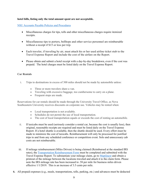#### hotel bills, listing only the total amount spent are not acceptable.

NSU Accounts Payable Policies and Procedures

- Miscellaneous charges for tips, tolls and other miscellaneous charges require itemized receipts.
- Miscellaneous tips to porters, bellhops and other service personnel are reimbursable without a receipt if \$15 or less per trip.
- Each traveler, if traveling by air, must attach his or her used airline ticket stub to the Travel Expense Report and include the cost of the airfare on the Report.
- Please obtain and submit a hotel receipt with a day-by-day breakdown, even if the cost was prepaid. The hotel charges must be listed daily on the Travel Expense Report.

#### Car Rentals

- i. Trips to destinations in excess of 300 miles should not be made by automobile unless:
	- Three or more travelers share a van.
	- Traveling with excessive baggage, too cumbersome to carry on a plane.
	- Frequent stops are made.

Reservations for car rentals should be made through the University Travel Office, as Nova Southeastern University receives discounts on corporate use. Vehicles may be rented when:

- Local transportation is not available.
- Schedules do not permit the use of local transportation.
- The cost of local transportation equals or exceeds the cost of renting an automobile.
- ii. If taxicabs must be used (seriously consider a rental car, because the cost is usually less), then original, reasonable receipts are required and must be listed daily on the Travel Expense Report. If a hotel shuttle is available, then the shuttle should be used. Every effort must be made to minimize the cost of taxicabs. Reimbursement will only be processed for justified trips to and from any scheduled conference or competition event. Solo and unnecessary cab costs are not reimbursable.
- iii. If mileage reimbursement (Miles Driven) is being claimed (Reimbursed at the standard IRS rates), the Transportation Reimbursement Form must be completed and submitted with the Travel Expense Report. To substantiate your mileage claim, go to MapQuest and obtain a printout of the mileage between the locations traveled and attach it to the claim form. Please note the IRS mileage rate has been increased to .58 per mile for business miles driven effective 1/1/2019. This is an increase of 3.5 cents per mile.
- 6. All prepaid expenses (e.g., meals, transportations, tolls, parking, etc.) and advances must be deducted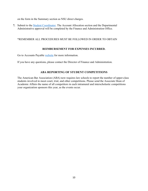on the form in the Summary section as NSU direct charges.

7. Submit to the Student Coordinator. The Account Allocation section and the Departmental Administrative approval will be completed by the Finance and Administration Office.

#### \*REMEMBER ALL PROCEDURES MUST BE FOLLOWED IN ORDER TO OBTAIN

#### REIMBURSEMENT FOR EXPENSES INCURRED.

Go to Accounts Payable website for more information.

If you have any questions, please contact the Director of Finance and Administration.

#### ABA REPORTING OF STUDENT COMPETITIONS

The American Bar Association (ABA) now requires law schools to report the number of upper-class students involved in moot court, trial, and other competitions. Please send the Associate Dean of Academic Affairs the name of all competitors in each intramural and interscholastic competitions your organization sponsors this year, as the events occur.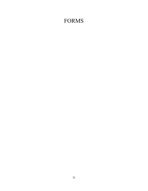# FORMS